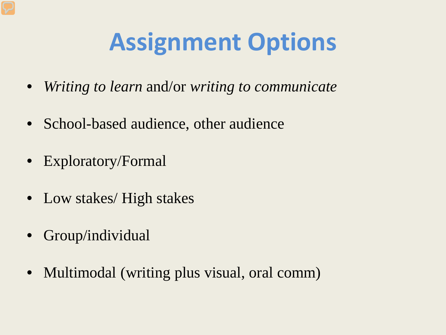### **Assignment Options**

- *Writing to learn* and/or *writing to communicate*
- School-based audience, other audience
- Exploratory/Formal
- Low stakes/ High stakes
- Group/individual
- Multimodal (writing plus visual, oral comm)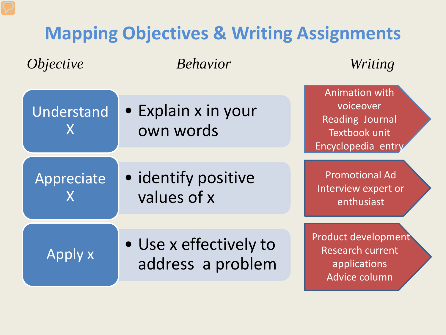#### **Mapping Objectives & Writing Assignments**

*Objective Behavior Writing* 

• Explain x in your own words Understand X • identify positive values of x Appreciate X • Use x effectively to Apply x address a problem Animation with voiceover Reading Journal Textbook unit Encyclopedia entry Promotional Ad Interview expert or enthusiast Product development Research current applications

Advice column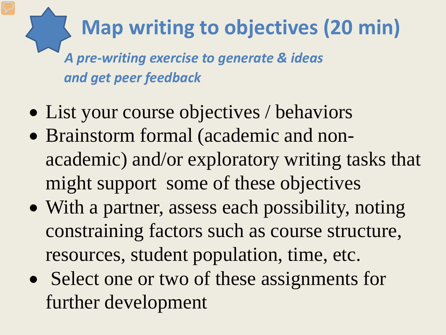#### **Map writing to objectives (20 min)**

*A pre-writing exercise to generate & ideas and get peer feedback*

- List your course objectives / behaviors
- Brainstorm formal (academic and nonacademic) and/or exploratory writing tasks that might support some of these objectives
- With a partner, assess each possibility, noting constraining factors such as course structure, resources, student population, time, etc.
- Select one or two of these assignments for further development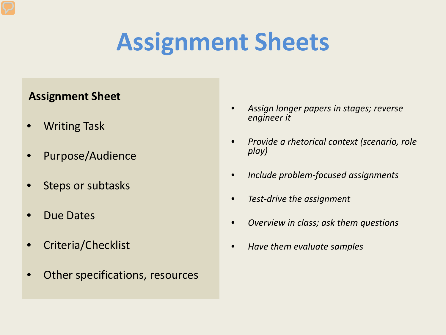### **Assignment Sheets**

#### **Assignment Sheet**

- Writing Task
- Purpose/Audience
- Steps or subtasks
- Due Dates
- Criteria/Checklist
- Other specifications, resources
- *Assign longer papers in stages; reverse engineer it*
- *Provide a rhetorical context (scenario, role play)*
- *Include problem-focused assignments*
- *Test-drive the assignment*
- *Overview in class; ask them questions*
- *Have them evaluate samples*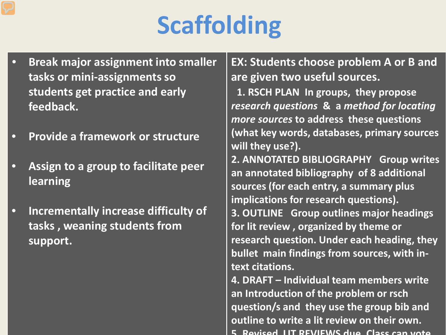## **Scaffolding**

- **Break major assignment into smaller tasks or mini-assignments so students get practice and early feedback.**
- **Provide a framework or structure**
- **Assign to a group to facilitate peer learning**
- **Incrementally increase difficulty of tasks , weaning students from support.**

**EX: Students choose problem A or B and are given two useful sources.**

**1. RSCH PLAN In groups, they propose**  *research questions* **& a** *method for locating more sources* **to address these questions (what key words, databases, primary sources will they use?). 2. ANNOTATED BIBLIOGRAPHY Group writes an annotated bibliography of 8 additional sources (for each entry, a summary plus implications for research questions). 3. OUTLINE Group outlines major headings for lit review , organized by theme or research question. Under each heading, they bullet main findings from sources, with intext citations. 4. DRAFT – Individual team members write** 

**an Introduction of the problem or rsch question/s and they use the group bib and outline to write a lit review on their own. 5 Revised LIT REVIEWS due Class can vote**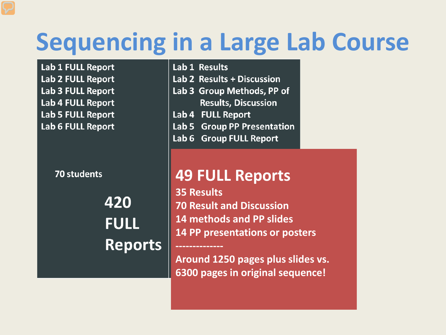#### **Sequencing in a Large Lab Course**

Lab 1 FULL Report Lab 2 FULL Report **Lab 3 FULL Report** Lab 4 FULL Report **Lab 5 FULL Report** Lab 6 FULL Report

70 students

420 **FULL Reports** 

Lab 1 Results Lab 2 Results + Discussion

- Lab 3 Group Methods, PP of **Results, Discussion**
- Lab 4 FULL Report

**--------------**

- Lab 5 Group PP Presentation
- Lab 6 Group FULL Report

#### **49 FULL Reports**

**35 Results 70 Result and Discussion 14 methods and PP slides 14 PP presentations or posters**

**Around 1250 pages plus slides vs. 6300 pages in original sequence!**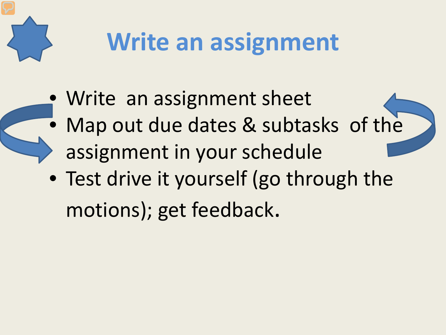

# **Write an assignment**

- Write an assignment sheet
	- Map out due dates & subtasks of the assignment in your schedule
- Test drive it yourself (go through the motions); get feedback.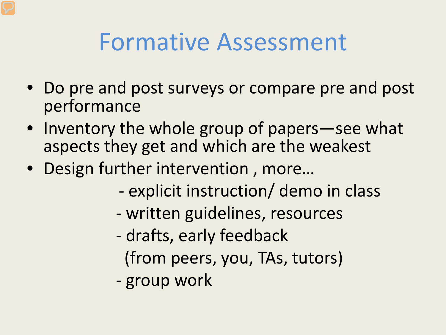#### Formative Assessment

- Do pre and post surveys or compare pre and post performance
- Inventory the whole group of papers—see what aspects they get and which are the weakest
- Design further intervention , more…
	- explicit instruction/ demo in class
	- written guidelines, resources
	- drafts, early feedback (from peers, you, TAs, tutors)
	- group work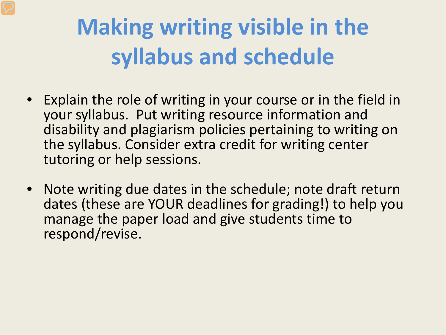#### **Making writing visible in the syllabus and schedule**

- Explain the role of writing in your course or in the field in your syllabus. Put writing resource information and disability and plagiarism policies pertaining to writing on the syllabus. Consider extra credit for writing center tutoring or help sessions.
- Note writing due dates in the schedule; note draft return dates (these are YOUR deadlines for grading!) to help you manage the paper load and give students time to respond/revise.